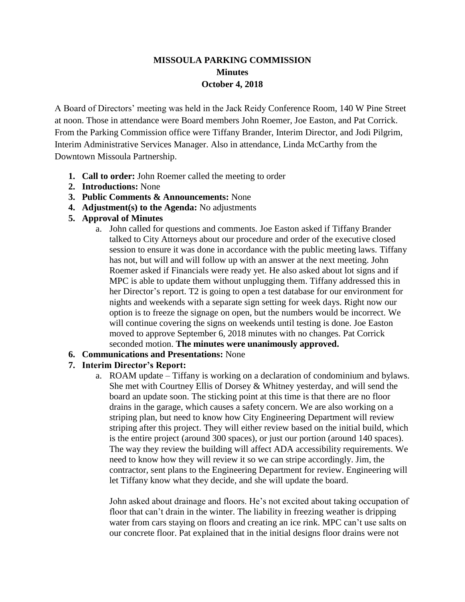# **MISSOULA PARKING COMMISSION Minutes October 4, 2018**

A Board of Directors' meeting was held in the Jack Reidy Conference Room, 140 W Pine Street at noon. Those in attendance were Board members John Roemer, Joe Easton, and Pat Corrick. From the Parking Commission office were Tiffany Brander, Interim Director, and Jodi Pilgrim, Interim Administrative Services Manager. Also in attendance, Linda McCarthy from the Downtown Missoula Partnership.

- **1. Call to order:** John Roemer called the meeting to order
- **2. Introductions:** None
- **3. Public Comments & Announcements:** None
- **4. Adjustment(s) to the Agenda:** No adjustments
- **5. Approval of Minutes**
	- a. John called for questions and comments. Joe Easton asked if Tiffany Brander talked to City Attorneys about our procedure and order of the executive closed session to ensure it was done in accordance with the public meeting laws. Tiffany has not, but will and will follow up with an answer at the next meeting. John Roemer asked if Financials were ready yet. He also asked about lot signs and if MPC is able to update them without unplugging them. Tiffany addressed this in her Director's report. T2 is going to open a test database for our environment for nights and weekends with a separate sign setting for week days. Right now our option is to freeze the signage on open, but the numbers would be incorrect. We will continue covering the signs on weekends until testing is done. Joe Easton moved to approve September 6, 2018 minutes with no changes. Pat Corrick seconded motion. **The minutes were unanimously approved.**
- **6. Communications and Presentations:** None

## **7. Interim Director's Report:**

a. ROAM update – Tiffany is working on a declaration of condominium and bylaws. She met with Courtney Ellis of Dorsey & Whitney yesterday, and will send the board an update soon. The sticking point at this time is that there are no floor drains in the garage, which causes a safety concern. We are also working on a striping plan, but need to know how City Engineering Department will review striping after this project. They will either review based on the initial build, which is the entire project (around 300 spaces), or just our portion (around 140 spaces). The way they review the building will affect ADA accessibility requirements. We need to know how they will review it so we can stripe accordingly. Jim, the contractor, sent plans to the Engineering Department for review. Engineering will let Tiffany know what they decide, and she will update the board.

John asked about drainage and floors. He's not excited about taking occupation of floor that can't drain in the winter. The liability in freezing weather is dripping water from cars staying on floors and creating an ice rink. MPC can't use salts on our concrete floor. Pat explained that in the initial designs floor drains were not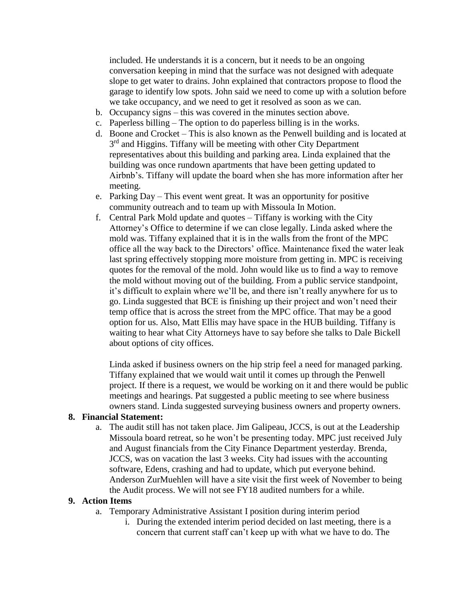included. He understands it is a concern, but it needs to be an ongoing conversation keeping in mind that the surface was not designed with adequate slope to get water to drains. John explained that contractors propose to flood the garage to identify low spots. John said we need to come up with a solution before we take occupancy, and we need to get it resolved as soon as we can.

- b. Occupancy signs this was covered in the minutes section above.
- c. Paperless billing The option to do paperless billing is in the works.
- d. Boone and Crocket This is also known as the Penwell building and is located at 3<sup>rd</sup> and Higgins. Tiffany will be meeting with other City Department representatives about this building and parking area. Linda explained that the building was once rundown apartments that have been getting updated to Airbnb's. Tiffany will update the board when she has more information after her meeting.
- e. Parking Day This event went great. It was an opportunity for positive community outreach and to team up with Missoula In Motion.
- f. Central Park Mold update and quotes Tiffany is working with the City Attorney's Office to determine if we can close legally. Linda asked where the mold was. Tiffany explained that it is in the walls from the front of the MPC office all the way back to the Directors' office. Maintenance fixed the water leak last spring effectively stopping more moisture from getting in. MPC is receiving quotes for the removal of the mold. John would like us to find a way to remove the mold without moving out of the building. From a public service standpoint, it's difficult to explain where we'll be, and there isn't really anywhere for us to go. Linda suggested that BCE is finishing up their project and won't need their temp office that is across the street from the MPC office. That may be a good option for us. Also, Matt Ellis may have space in the HUB building. Tiffany is waiting to hear what City Attorneys have to say before she talks to Dale Bickell about options of city offices.

Linda asked if business owners on the hip strip feel a need for managed parking. Tiffany explained that we would wait until it comes up through the Penwell project. If there is a request, we would be working on it and there would be public meetings and hearings. Pat suggested a public meeting to see where business owners stand. Linda suggested surveying business owners and property owners.

### **8. Financial Statement:**

a. The audit still has not taken place. Jim Galipeau, JCCS, is out at the Leadership Missoula board retreat, so he won't be presenting today. MPC just received July and August financials from the City Finance Department yesterday. Brenda, JCCS, was on vacation the last 3 weeks. City had issues with the accounting software, Edens, crashing and had to update, which put everyone behind. Anderson ZurMuehlen will have a site visit the first week of November to being the Audit process. We will not see FY18 audited numbers for a while.

## **9. Action Items**

- a. Temporary Administrative Assistant I position during interim period
	- i. During the extended interim period decided on last meeting, there is a concern that current staff can't keep up with what we have to do. The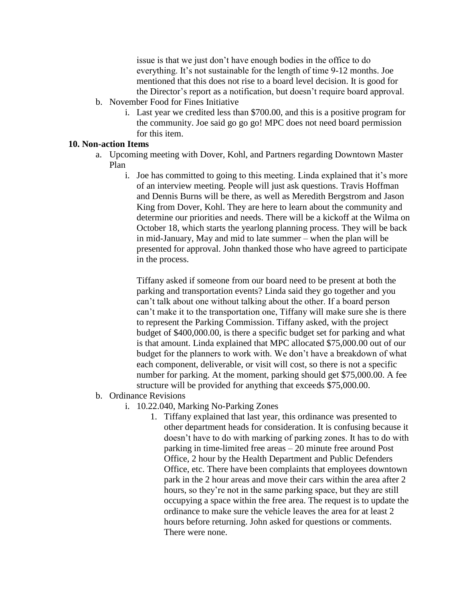issue is that we just don't have enough bodies in the office to do everything. It's not sustainable for the length of time 9-12 months. Joe mentioned that this does not rise to a board level decision. It is good for the Director's report as a notification, but doesn't require board approval.

- b. November Food for Fines Initiative
	- i. Last year we credited less than \$700.00, and this is a positive program for the community. Joe said go go go! MPC does not need board permission for this item.

## **10. Non-action Items**

- a. Upcoming meeting with Dover, Kohl, and Partners regarding Downtown Master Plan
	- i. Joe has committed to going to this meeting. Linda explained that it's more of an interview meeting. People will just ask questions. Travis Hoffman and Dennis Burns will be there, as well as Meredith Bergstrom and Jason King from Dover, Kohl. They are here to learn about the community and determine our priorities and needs. There will be a kickoff at the Wilma on October 18, which starts the yearlong planning process. They will be back in mid-January, May and mid to late summer – when the plan will be presented for approval. John thanked those who have agreed to participate in the process.

Tiffany asked if someone from our board need to be present at both the parking and transportation events? Linda said they go together and you can't talk about one without talking about the other. If a board person can't make it to the transportation one, Tiffany will make sure she is there to represent the Parking Commission. Tiffany asked, with the project budget of \$400,000.00, is there a specific budget set for parking and what is that amount. Linda explained that MPC allocated \$75,000.00 out of our budget for the planners to work with. We don't have a breakdown of what each component, deliverable, or visit will cost, so there is not a specific number for parking. At the moment, parking should get \$75,000.00. A fee structure will be provided for anything that exceeds \$75,000.00.

- b. Ordinance Revisions
	- i. 10.22.040, Marking No-Parking Zones
		- 1. Tiffany explained that last year, this ordinance was presented to other department heads for consideration. It is confusing because it doesn't have to do with marking of parking zones. It has to do with parking in time-limited free areas – 20 minute free around Post Office, 2 hour by the Health Department and Public Defenders Office, etc. There have been complaints that employees downtown park in the 2 hour areas and move their cars within the area after 2 hours, so they're not in the same parking space, but they are still occupying a space within the free area. The request is to update the ordinance to make sure the vehicle leaves the area for at least 2 hours before returning. John asked for questions or comments. There were none.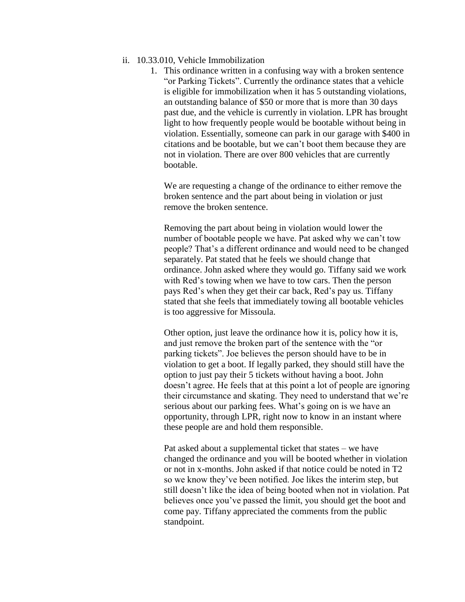### ii. 10.33.010, Vehicle Immobilization

1. This ordinance written in a confusing way with a broken sentence "or Parking Tickets". Currently the ordinance states that a vehicle is eligible for immobilization when it has 5 outstanding violations, an outstanding balance of \$50 or more that is more than 30 days past due, and the vehicle is currently in violation. LPR has brought light to how frequently people would be bootable without being in violation. Essentially, someone can park in our garage with \$400 in citations and be bootable, but we can't boot them because they are not in violation. There are over 800 vehicles that are currently bootable.

We are requesting a change of the ordinance to either remove the broken sentence and the part about being in violation or just remove the broken sentence.

Removing the part about being in violation would lower the number of bootable people we have. Pat asked why we can't tow people? That's a different ordinance and would need to be changed separately. Pat stated that he feels we should change that ordinance. John asked where they would go. Tiffany said we work with Red's towing when we have to tow cars. Then the person pays Red's when they get their car back, Red's pay us. Tiffany stated that she feels that immediately towing all bootable vehicles is too aggressive for Missoula.

Other option, just leave the ordinance how it is, policy how it is, and just remove the broken part of the sentence with the "or parking tickets". Joe believes the person should have to be in violation to get a boot. If legally parked, they should still have the option to just pay their 5 tickets without having a boot. John doesn't agree. He feels that at this point a lot of people are ignoring their circumstance and skating. They need to understand that we're serious about our parking fees. What's going on is we have an opportunity, through LPR, right now to know in an instant where these people are and hold them responsible.

Pat asked about a supplemental ticket that states – we have changed the ordinance and you will be booted whether in violation or not in x-months. John asked if that notice could be noted in T2 so we know they've been notified. Joe likes the interim step, but still doesn't like the idea of being booted when not in violation. Pat believes once you've passed the limit, you should get the boot and come pay. Tiffany appreciated the comments from the public standpoint.